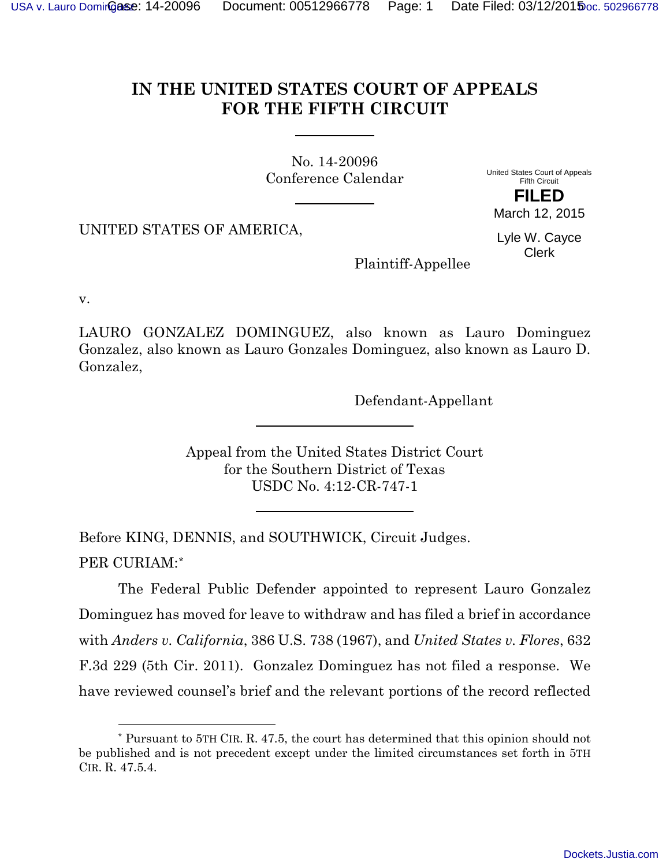## **IN THE UNITED STATES COURT OF APPEALS FOR THE FIFTH CIRCUIT**

No. 14-20096 Conference Calendar

United States Court of Appeals Fifth Circuit **FILED**

UNITED STATES OF AMERICA,

Lyle W. Cayce Clerk

March 12, 2015

Plaintiff-Appellee

v.

l

LAURO GONZALEZ DOMINGUEZ, also known as Lauro Dominguez Gonzalez, also known as Lauro Gonzales Dominguez, also known as Lauro D. Gonzalez,

Defendant-Appellant

Appeal from the United States District Court for the Southern District of Texas USDC No. 4:12-CR-747-1

Before KING, DENNIS, and SOUTHWICK, Circuit Judges. PER CURIAM:[\\*](#page-0-0)

The Federal Public Defender appointed to represent Lauro Gonzalez Dominguez has moved for leave to withdraw and has filed a brief in accordance with *Anders v. California*, 386 U.S. 738 (1967), and *United States v. Flores*, 632 F.3d 229 (5th Cir. 2011). Gonzalez Dominguez has not filed a response. We have reviewed counsel's brief and the relevant portions of the record reflected

<span id="page-0-0"></span><sup>\*</sup> Pursuant to 5TH CIR. R. 47.5, the court has determined that this opinion should not be published and is not precedent except under the limited circumstances set forth in 5TH CIR. R. 47.5.4.